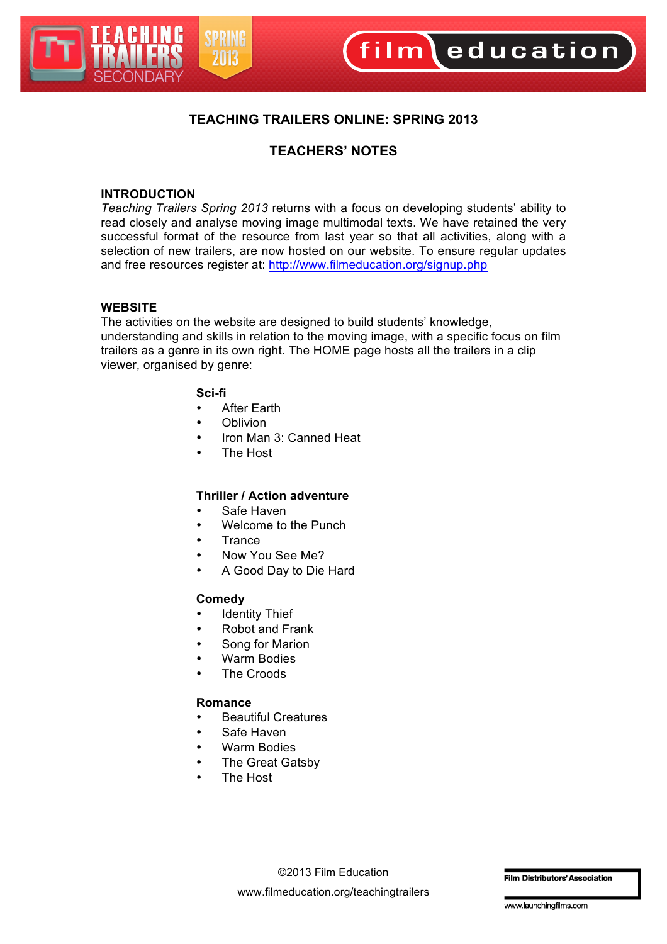

### **TEACHING TRAILERS ONLINE: SPRING 2013**

## **TEACHERS' NOTES**

#### **INTRODUCTION**

*Teaching Trailers Spring 2013* returns with a focus on developing students' ability to read closely and analyse moving image multimodal texts. We have retained the very successful format of the resource from last year so that all activities, along with a selection of new trailers, are now hosted on our website. To ensure regular updates and free resources register at: http://www.filmeducation.org/signup.php

#### **WEBSITE**

The activities on the website are designed to build students' knowledge, understanding and skills in relation to the moving image, with a specific focus on film trailers as a genre in its own right. The HOME page hosts all the trailers in a clip viewer, organised by genre:

#### **Sci-fi**

- **After Earth**
- Oblivion
- Iron Man 3: Canned Heat
- The Host

#### **Thriller / Action adventure**

- Safe Haven
- Welcome to the Punch
- **Trance**
- Now You See Me?
- A Good Day to Die Hard

#### **Comedy**

- **Identity Thief**
- Robot and Frank
- Song for Marion
- Warm Bodies
- **The Croods**

#### **Romance**

- Beautiful Creatures
- Safe Haven
- Warm Bodies
- The Great Gatsby
- The Host

**Film Distributors' Association**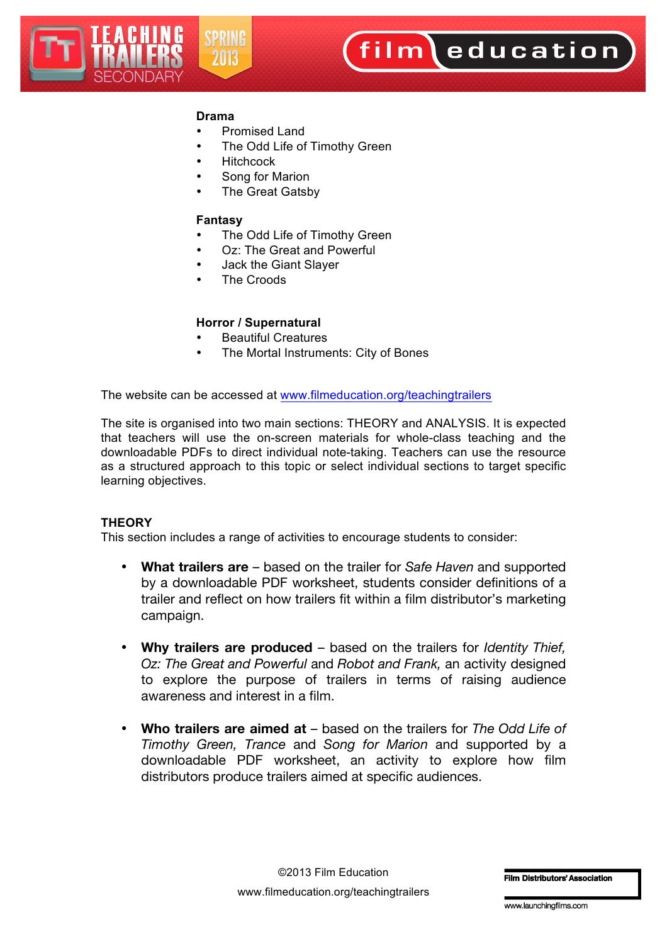

#### **Drama**

- Promised Land
- The Odd Life of Timothy Green
- **Hitchcock**
- Song for Marion
- The Great Gatsby

#### **Fantasy**

- The Odd Life of Timothy Green
- Oz: The Great and Powerful
- Jack the Giant Slayer
- The Croods

#### **Horror / Supernatural**

- Beautiful Creatures
- The Mortal Instruments: City of Bones

The website can be accessed at www.filmeducation.org/teachingtrailers

The site is organised into two main sections: THEORY and ANALYSIS. It is expected that teachers will use the on-screen materials for whole-class teaching and the downloadable PDFs to direct individual note-taking. Teachers can use the resource as a structured approach to this topic or select individual sections to target specific learning objectives.

#### **THEORY**

This section includes a range of activities to encourage students to consider:

- **What trailers are** based on the trailer for *Safe Haven* and supported by a downloadable PDF worksheet, students consider definitions of a trailer and reflect on how trailers fit within a film distributor's marketing campaign.
- **Why trailers are produced** based on the trailers for *Identity Thief, Oz: The Great and Powerful* and *Robot and Frank,* an activity designed to explore the purpose of trailers in terms of raising audience awareness and interest in a film.
- **Who trailers are aimed at** based on the trailers for *The Odd Life of Timothy Green, Trance* and *Song for Marion* and supported by a downloadable PDF worksheet, an activity to explore how film distributors produce trailers aimed at specific audiences.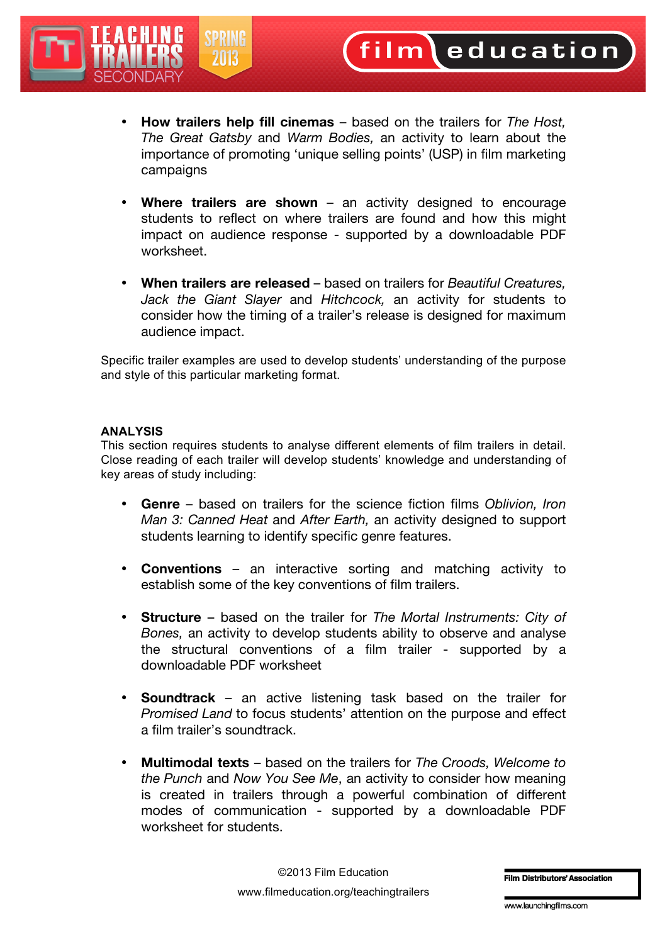

film education

- **Where trailers are shown** an activity designed to encourage students to reflect on where trailers are found and how this might impact on audience response - supported by a downloadable PDF worksheet.
- **When trailers are released** based on trailers for *Beautiful Creatures, Jack the Giant Slayer* and *Hitchcock,* an activity for students to consider how the timing of a trailer's release is designed for maximum audience impact.

Specific trailer examples are used to develop students' understanding of the purpose and style of this particular marketing format.

#### **ANALYSIS**

This section requires students to analyse different elements of film trailers in detail. Close reading of each trailer will develop students' knowledge and understanding of key areas of study including:

- **Genre** based on trailers for the science fiction films *Oblivion, Iron Man 3: Canned Heat* and *After Earth,* an activity designed to support students learning to identify specific genre features.
- **Conventions** an interactive sorting and matching activity to establish some of the key conventions of film trailers.
- **Structure** based on the trailer for *The Mortal Instruments: City of Bones,* an activity to develop students ability to observe and analyse the structural conventions of a film trailer - supported by a downloadable PDF worksheet
- **Soundtrack** an active listening task based on the trailer for *Promised Land* to focus students' attention on the purpose and effect a film trailer's soundtrack.
- **Multimodal texts** based on the trailers for *The Croods, Welcome to the Punch* and *Now You See Me*, an activity to consider how meaning is created in trailers through a powerful combination of different modes of communication - supported by a downloadable PDF worksheet for students.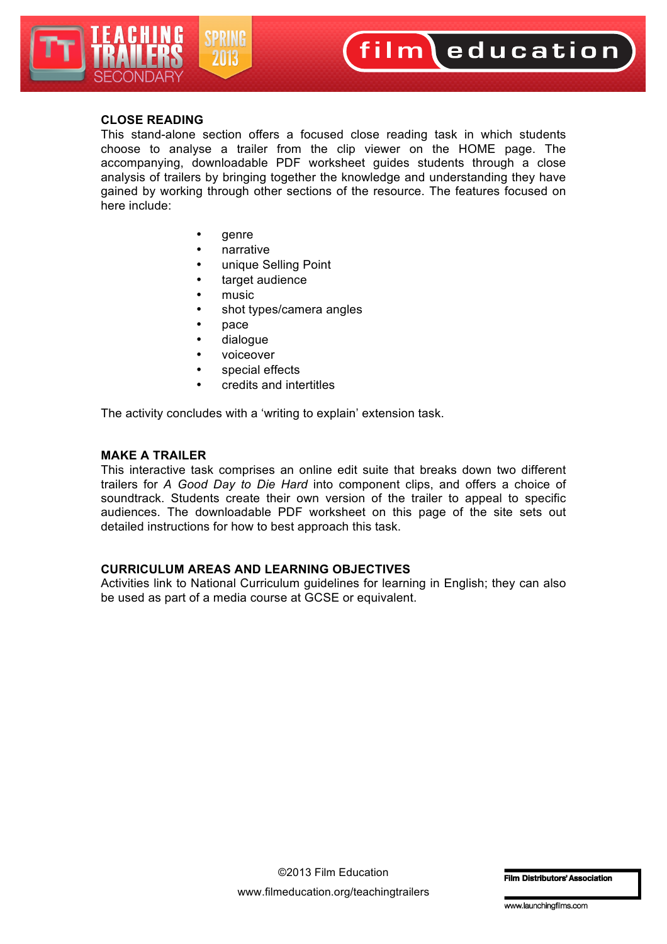

# film education

#### **CLOSE READING**

This stand-alone section offers a focused close reading task in which students choose to analyse a trailer from the clip viewer on the HOME page. The accompanying, downloadable PDF worksheet guides students through a close analysis of trailers by bringing together the knowledge and understanding they have gained by working through other sections of the resource. The features focused on here include:

- genre
- narrative
- unique Selling Point
- target audience
- music
- shot types/camera angles
- pace
- dialogue
- voiceover
- special effects
- credits and intertitles

The activity concludes with a 'writing to explain' extension task.

#### **MAKE A TRAILER**

This interactive task comprises an online edit suite that breaks down two different trailers for *A Good Day to Die Hard* into component clips, and offers a choice of soundtrack. Students create their own version of the trailer to appeal to specific audiences. The downloadable PDF worksheet on this page of the site sets out detailed instructions for how to best approach this task.

#### **CURRICULUM AREAS AND LEARNING OBJECTIVES**

Activities link to National Curriculum guidelines for learning in English; they can also be used as part of a media course at GCSE or equivalent.

**Film Distributors' Association**